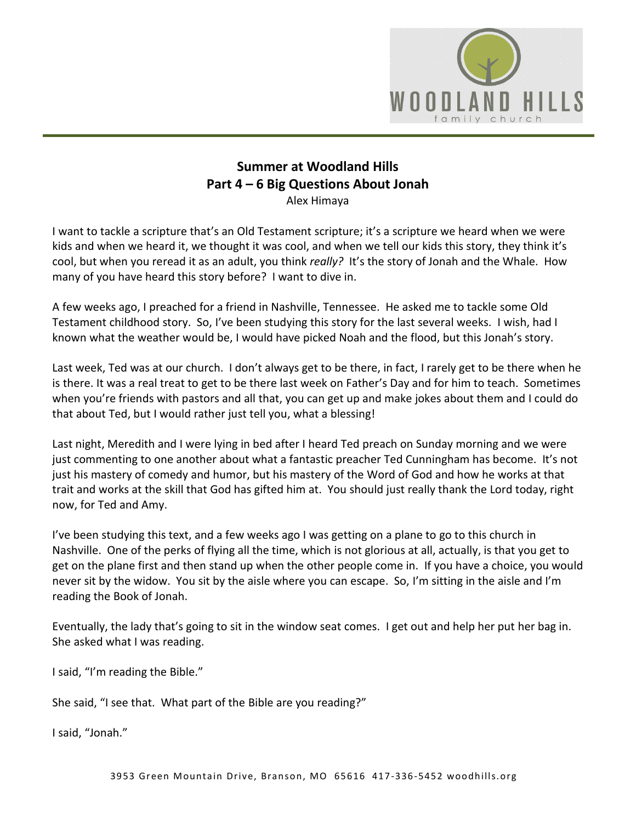

# **Summer at Woodland Hills Part 4 – 6 Big Questions About Jonah**  Alex Himaya

I want to tackle a scripture that's an Old Testament scripture; it's a scripture we heard when we were kids and when we heard it, we thought it was cool, and when we tell our kids this story, they think it's cool, but when you reread it as an adult, you think *really?* It's the story of Jonah and the Whale. How many of you have heard this story before? I want to dive in.

A few weeks ago, I preached for a friend in Nashville, Tennessee. He asked me to tackle some Old Testament childhood story. So, I've been studying this story for the last several weeks. I wish, had I known what the weather would be, I would have picked Noah and the flood, but this Jonah's story.

Last week, Ted was at our church. I don't always get to be there, in fact, I rarely get to be there when he is there. It was a real treat to get to be there last week on Father's Day and for him to teach. Sometimes when you're friends with pastors and all that, you can get up and make jokes about them and I could do that about Ted, but I would rather just tell you, what a blessing!

Last night, Meredith and I were lying in bed after I heard Ted preach on Sunday morning and we were just commenting to one another about what a fantastic preacher Ted Cunningham has become. It's not just his mastery of comedy and humor, but his mastery of the Word of God and how he works at that trait and works at the skill that God has gifted him at. You should just really thank the Lord today, right now, for Ted and Amy.

I've been studying this text, and a few weeks ago I was getting on a plane to go to this church in Nashville. One of the perks of flying all the time, which is not glorious at all, actually, is that you get to get on the plane first and then stand up when the other people come in. If you have a choice, you would never sit by the widow. You sit by the aisle where you can escape. So, I'm sitting in the aisle and I'm reading the Book of Jonah.

Eventually, the lady that's going to sit in the window seat comes. I get out and help her put her bag in. She asked what I was reading.

I said, "I'm reading the Bible."

She said, "I see that. What part of the Bible are you reading?"

I said, "Jonah."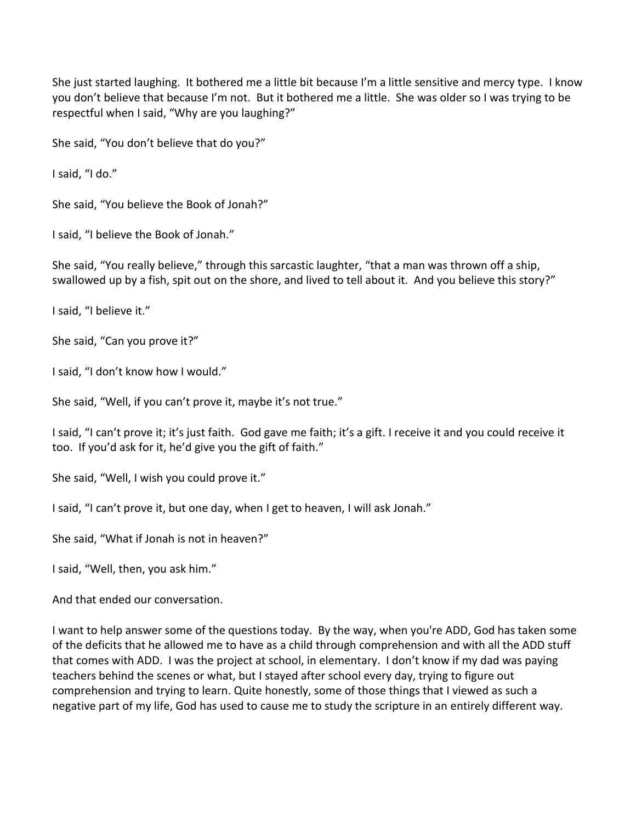She just started laughing. It bothered me a little bit because I'm a little sensitive and mercy type. I know you don't believe that because I'm not. But it bothered me a little. She was older so I was trying to be respectful when I said, "Why are you laughing?"

She said, "You don't believe that do you?"

I said, "I do."

She said, "You believe the Book of Jonah?"

I said, "I believe the Book of Jonah."

She said, "You really believe," through this sarcastic laughter, "that a man was thrown off a ship, swallowed up by a fish, spit out on the shore, and lived to tell about it. And you believe this story?"

I said, "I believe it."

She said, "Can you prove it?"

I said, "I don't know how I would."

She said, "Well, if you can't prove it, maybe it's not true."

I said, "I can't prove it; it's just faith. God gave me faith; it's a gift. I receive it and you could receive it too. If you'd ask for it, he'd give you the gift of faith."

She said, "Well, I wish you could prove it."

I said, "I can't prove it, but one day, when I get to heaven, I will ask Jonah."

She said, "What if Jonah is not in heaven?"

I said, "Well, then, you ask him."

And that ended our conversation.

I want to help answer some of the questions today. By the way, when you're ADD, God has taken some of the deficits that he allowed me to have as a child through comprehension and with all the ADD stuff that comes with ADD. I was the project at school, in elementary. I don't know if my dad was paying teachers behind the scenes or what, but I stayed after school every day, trying to figure out comprehension and trying to learn. Quite honestly, some of those things that I viewed as such a negative part of my life, God has used to cause me to study the scripture in an entirely different way.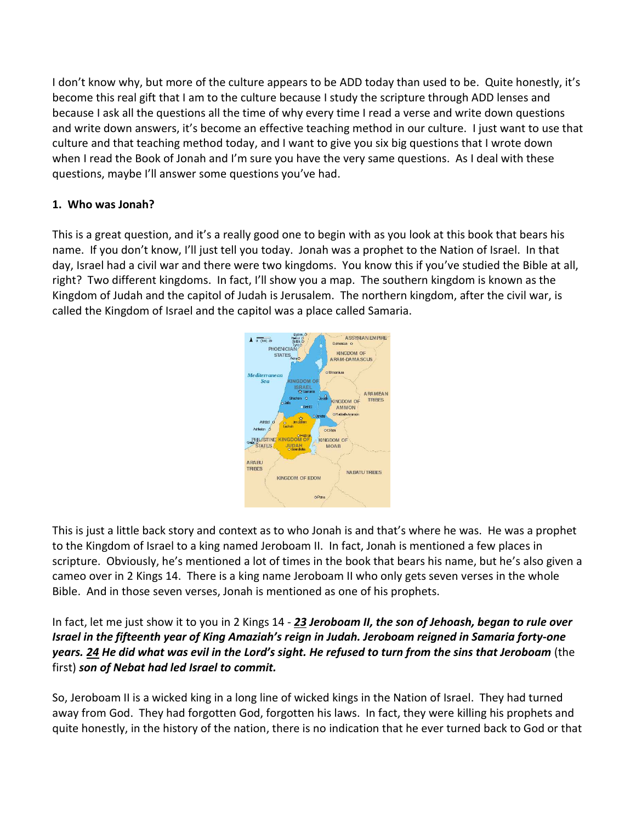I don't know why, but more of the culture appears to be ADD today than used to be. Quite honestly, it's become this real gift that I am to the culture because I study the scripture through ADD lenses and because I ask all the questions all the time of why every time I read a verse and write down questions and write down answers, it's become an effective teaching method in our culture. I just want to use that culture and that teaching method today, and I want to give you six big questions that I wrote down when I read the Book of Jonah and I'm sure you have the very same questions. As I deal with these questions, maybe I'll answer some questions you've had.

# **1. Who was Jonah?**

This is a great question, and it's a really good one to begin with as you look at this book that bears his name. If you don't know, I'll just tell you today. Jonah was a prophet to the Nation of Israel. In that day, Israel had a civil war and there were two kingdoms. You know this if you've studied the Bible at all, right? Two different kingdoms. In fact, I'll show you a map. The southern kingdom is known as the Kingdom of Judah and the capitol of Judah is Jerusalem. The northern kingdom, after the civil war, is called the Kingdom of Israel and the capitol was a place called Samaria.



This is just a little back story and context as to who Jonah is and that's where he was. He was a prophet to the Kingdom of Israel to a king named Jeroboam II. In fact, Jonah is mentioned a few places in scripture. Obviously, he's mentioned a lot of times in the book that bears his name, but he's also given a cameo over in 2 Kings 14. There is a king name Jeroboam II who only gets seven verses in the whole Bible. And in those seven verses, Jonah is mentioned as one of his prophets.

In fact, let me just show it to you in 2 Kings 14 - *[23](https://www.studylight.org/desk/?q=2ki%2014:23&t1=en_nlt&sr=1) Jeroboam II, the son of Jehoash, began to rule over Israel in the fifteenth year of King Amaziah's reign in Judah. Jeroboam reigned in Samaria forty-one years. [24](https://www.studylight.org/desk/?q=2ki%2014:24&t1=en_nlt&sr=1) He did what was evil in the Lord's sight. He refused to turn from the sins that Jeroboam* (the first) *son of Nebat had led Israel to commit.*

So, Jeroboam II is a wicked king in a long line of wicked kings in the Nation of Israel. They had turned away from God. They had forgotten God, forgotten his laws. In fact, they were killing his prophets and quite honestly, in the history of the nation, there is no indication that he ever turned back to God or that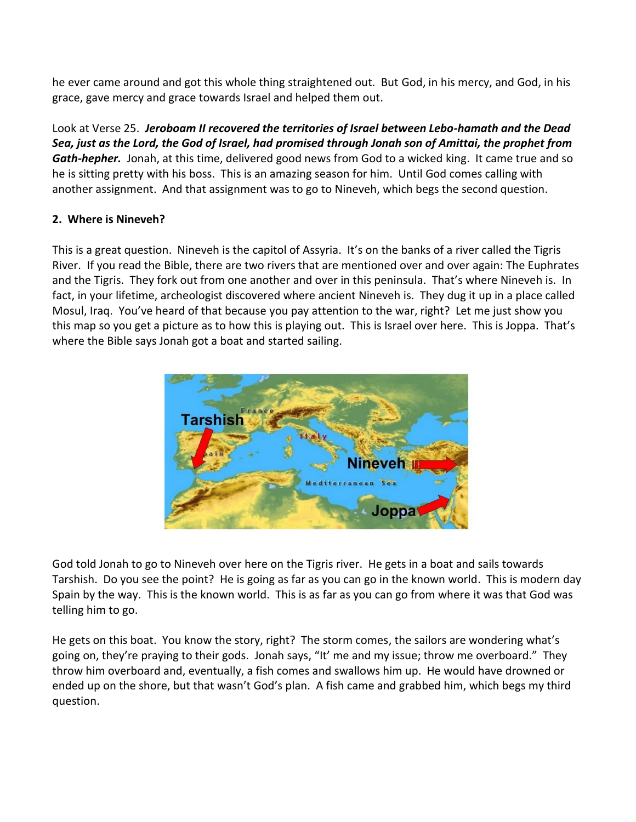he ever came around and got this whole thing straightened out. But God, in his mercy, and God, in his grace, gave mercy and grace towards Israel and helped them out.

Look at Verse 25. *Jeroboam II recovered the territories of Israel between Lebo-hamath and the Dead Sea, just as the Lord, the God of Israel, had promised through Jonah son of Amittai, the prophet from Gath-hepher.* Jonah, at this time, delivered good news from God to a wicked king. It came true and so he is sitting pretty with his boss. This is an amazing season for him. Until God comes calling with another assignment. And that assignment was to go to Nineveh, which begs the second question.

## **2. Where is Nineveh?**

This is a great question. Nineveh is the capitol of Assyria. It's on the banks of a river called the Tigris River. If you read the Bible, there are two rivers that are mentioned over and over again: The Euphrates and the Tigris. They fork out from one another and over in this peninsula. That's where Nineveh is. In fact, in your lifetime, archeologist discovered where ancient Nineveh is. They dug it up in a place called Mosul, Iraq. You've heard of that because you pay attention to the war, right? Let me just show you this map so you get a picture as to how this is playing out. This is Israel over here. This is Joppa. That's where the Bible says Jonah got a boat and started sailing.



God told Jonah to go to Nineveh over here on the Tigris river. He gets in a boat and sails towards Tarshish. Do you see the point? He is going as far as you can go in the known world. This is modern day Spain by the way. This is the known world. This is as far as you can go from where it was that God was telling him to go.

He gets on this boat. You know the story, right? The storm comes, the sailors are wondering what's going on, they're praying to their gods. Jonah says, "It' me and my issue; throw me overboard." They throw him overboard and, eventually, a fish comes and swallows him up. He would have drowned or ended up on the shore, but that wasn't God's plan. A fish came and grabbed him, which begs my third question.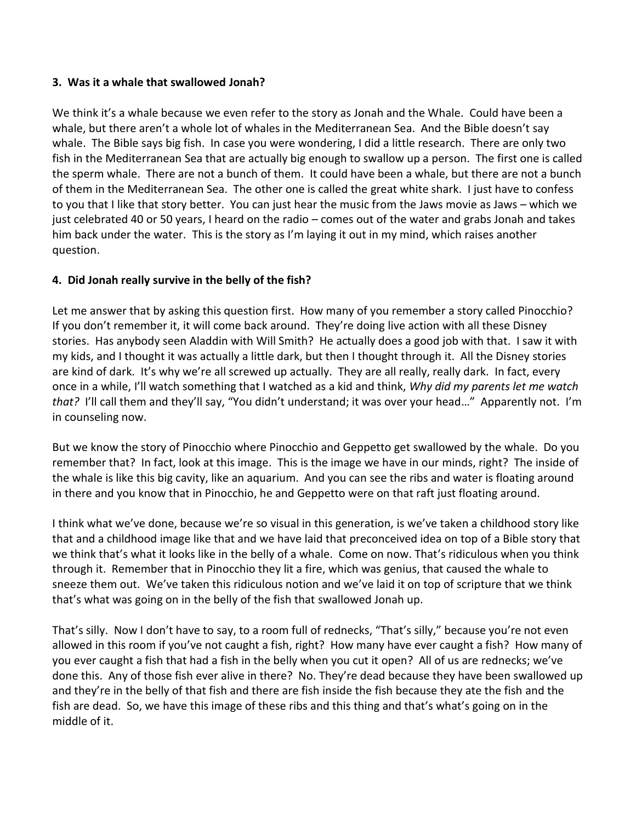#### **3. Was it a whale that swallowed Jonah?**

We think it's a whale because we even refer to the story as Jonah and the Whale. Could have been a whale, but there aren't a whole lot of whales in the Mediterranean Sea. And the Bible doesn't say whale. The Bible says big fish. In case you were wondering, I did a little research. There are only two fish in the Mediterranean Sea that are actually big enough to swallow up a person. The first one is called the sperm whale. There are not a bunch of them. It could have been a whale, but there are not a bunch of them in the Mediterranean Sea. The other one is called the great white shark. I just have to confess to you that I like that story better. You can just hear the music from the Jaws movie as Jaws – which we just celebrated 40 or 50 years, I heard on the radio – comes out of the water and grabs Jonah and takes him back under the water. This is the story as I'm laying it out in my mind, which raises another question.

## **4. Did Jonah really survive in the belly of the fish?**

Let me answer that by asking this question first. How many of you remember a story called Pinocchio? If you don't remember it, it will come back around. They're doing live action with all these Disney stories. Has anybody seen Aladdin with Will Smith? He actually does a good job with that. I saw it with my kids, and I thought it was actually a little dark, but then I thought through it. All the Disney stories are kind of dark. It's why we're all screwed up actually. They are all really, really dark. In fact, every once in a while, I'll watch something that I watched as a kid and think, *Why did my parents let me watch that?* I'll call them and they'll say, "You didn't understand; it was over your head…" Apparently not. I'm in counseling now.

But we know the story of Pinocchio where Pinocchio and Geppetto get swallowed by the whale. Do you remember that? In fact, look at this image. This is the image we have in our minds, right? The inside of the whale is like this big cavity, like an aquarium. And you can see the ribs and water is floating around in there and you know that in Pinocchio, he and Geppetto were on that raft just floating around.

I think what we've done, because we're so visual in this generation, is we've taken a childhood story like that and a childhood image like that and we have laid that preconceived idea on top of a Bible story that we think that's what it looks like in the belly of a whale. Come on now. That's ridiculous when you think through it. Remember that in Pinocchio they lit a fire, which was genius, that caused the whale to sneeze them out. We've taken this ridiculous notion and we've laid it on top of scripture that we think that's what was going on in the belly of the fish that swallowed Jonah up.

That's silly. Now I don't have to say, to a room full of rednecks, "That's silly," because you're not even allowed in this room if you've not caught a fish, right? How many have ever caught a fish? How many of you ever caught a fish that had a fish in the belly when you cut it open? All of us are rednecks; we've done this. Any of those fish ever alive in there? No. They're dead because they have been swallowed up and they're in the belly of that fish and there are fish inside the fish because they ate the fish and the fish are dead. So, we have this image of these ribs and this thing and that's what's going on in the middle of it.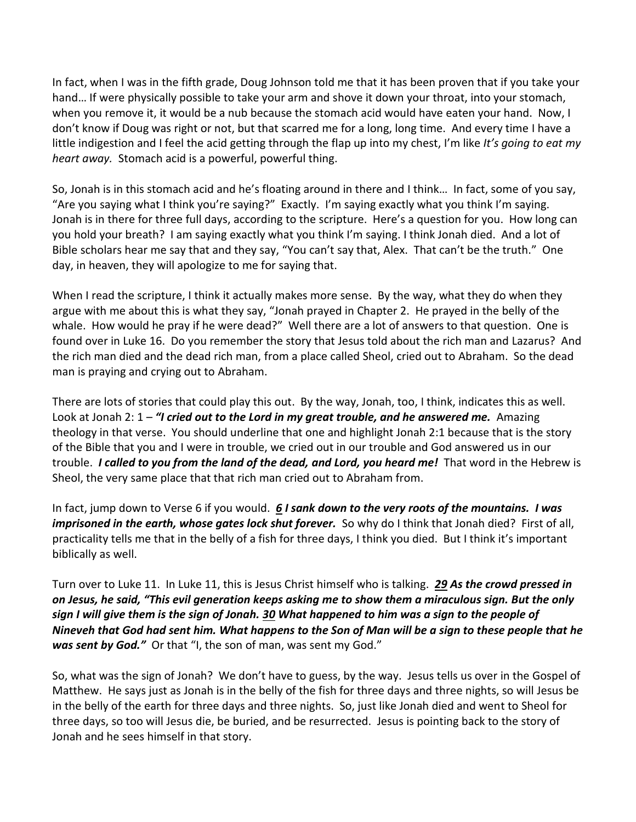In fact, when I was in the fifth grade, Doug Johnson told me that it has been proven that if you take your hand… If were physically possible to take your arm and shove it down your throat, into your stomach, when you remove it, it would be a nub because the stomach acid would have eaten your hand. Now, I don't know if Doug was right or not, but that scarred me for a long, long time. And every time I have a little indigestion and I feel the acid getting through the flap up into my chest, I'm like *It's going to eat my heart away.* Stomach acid is a powerful, powerful thing.

So, Jonah is in this stomach acid and he's floating around in there and I think… In fact, some of you say, "Are you saying what I think you're saying?" Exactly. I'm saying exactly what you think I'm saying. Jonah is in there for three full days, according to the scripture. Here's a question for you. How long can you hold your breath? I am saying exactly what you think I'm saying. I think Jonah died. And a lot of Bible scholars hear me say that and they say, "You can't say that, Alex. That can't be the truth." One day, in heaven, they will apologize to me for saying that.

When I read the scripture, I think it actually makes more sense. By the way, what they do when they argue with me about this is what they say, "Jonah prayed in Chapter 2. He prayed in the belly of the whale. How would he pray if he were dead?" Well there are a lot of answers to that question. One is found over in Luke 16. Do you remember the story that Jesus told about the rich man and Lazarus? And the rich man died and the dead rich man, from a place called Sheol, cried out to Abraham. So the dead man is praying and crying out to Abraham.

There are lots of stories that could play this out. By the way, Jonah, too, I think, indicates this as well. Look at Jonah 2: 1 – *"I cried out to the Lord in my great trouble, and he answered me.* Amazing theology in that verse. You should underline that one and highlight Jonah 2:1 because that is the story of the Bible that you and I were in trouble, we cried out in our trouble and God answered us in our trouble. *I called to you from the land of the dead, and Lord, you heard me!* That word in the Hebrew is Sheol, the very same place that that rich man cried out to Abraham from.

In fact, jump down to Verse 6 if you would. *[6](https://www.studylight.org/desk/?q=jon%202:6&t1=en_nlt&sr=1) I sank down to the very roots of the mountains. I was imprisoned in the earth, whose gates lock shut forever.* So why do I think that Jonah died? First of all, practicality tells me that in the belly of a fish for three days, I think you died. But I think it's important biblically as well.

Turn over to Luke 11. In Luke 11, this is Jesus Christ himself who is talking. *[29](https://www.studylight.org/desk/?q=lu%2011:29&t1=en_nlt&sr=1) As the crowd pressed in on Jesus, he said, "This evil generation keeps asking me to show them a miraculous sign. But the only sign I will give them is the sign of Jonah. [30](https://www.studylight.org/desk/?q=lu%2011:30&t1=en_nlt&sr=1) What happened to him was a sign to the people of Nineveh that God had sent him. What happens to the Son of Man will be a sign to these people that he*  was sent by God." Or that "I, the son of man, was sent my God."

So, what was the sign of Jonah? We don't have to guess, by the way. Jesus tells us over in the Gospel of Matthew. He says just as Jonah is in the belly of the fish for three days and three nights, so will Jesus be in the belly of the earth for three days and three nights. So, just like Jonah died and went to Sheol for three days, so too will Jesus die, be buried, and be resurrected. Jesus is pointing back to the story of Jonah and he sees himself in that story.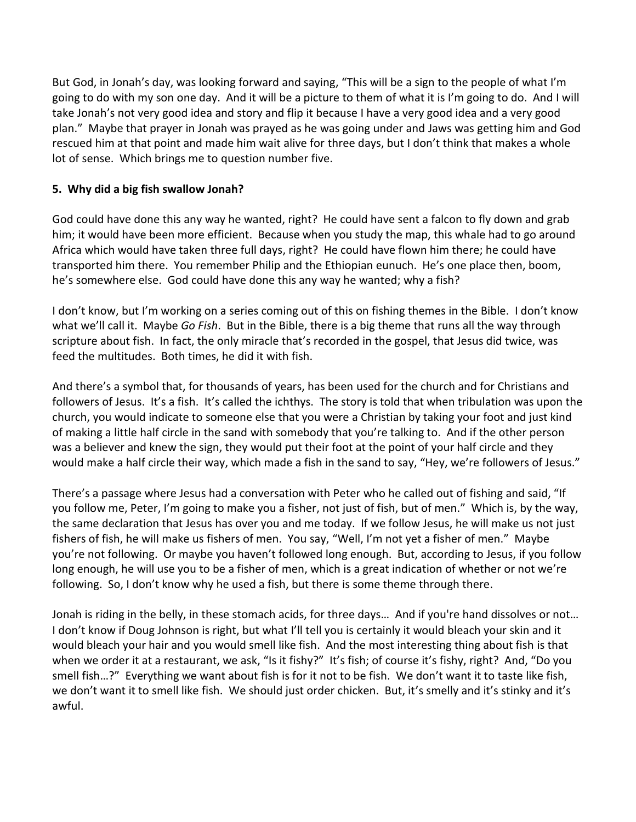But God, in Jonah's day, was looking forward and saying, "This will be a sign to the people of what I'm going to do with my son one day. And it will be a picture to them of what it is I'm going to do. And I will take Jonah's not very good idea and story and flip it because I have a very good idea and a very good plan." Maybe that prayer in Jonah was prayed as he was going under and Jaws was getting him and God rescued him at that point and made him wait alive for three days, but I don't think that makes a whole lot of sense. Which brings me to question number five.

## **5. Why did a big fish swallow Jonah?**

God could have done this any way he wanted, right? He could have sent a falcon to fly down and grab him; it would have been more efficient. Because when you study the map, this whale had to go around Africa which would have taken three full days, right? He could have flown him there; he could have transported him there. You remember Philip and the Ethiopian eunuch. He's one place then, boom, he's somewhere else. God could have done this any way he wanted; why a fish?

I don't know, but I'm working on a series coming out of this on fishing themes in the Bible. I don't know what we'll call it. Maybe *Go Fish*. But in the Bible, there is a big theme that runs all the way through scripture about fish. In fact, the only miracle that's recorded in the gospel, that Jesus did twice, was feed the multitudes. Both times, he did it with fish.

And there's a symbol that, for thousands of years, has been used for the church and for Christians and followers of Jesus. It's a fish. It's called the ichthys. The story is told that when tribulation was upon the church, you would indicate to someone else that you were a Christian by taking your foot and just kind of making a little half circle in the sand with somebody that you're talking to. And if the other person was a believer and knew the sign, they would put their foot at the point of your half circle and they would make a half circle their way, which made a fish in the sand to say, "Hey, we're followers of Jesus."

There's a passage where Jesus had a conversation with Peter who he called out of fishing and said, "If you follow me, Peter, I'm going to make you a fisher, not just of fish, but of men." Which is, by the way, the same declaration that Jesus has over you and me today. If we follow Jesus, he will make us not just fishers of fish, he will make us fishers of men. You say, "Well, I'm not yet a fisher of men." Maybe you're not following. Or maybe you haven't followed long enough. But, according to Jesus, if you follow long enough, he will use you to be a fisher of men, which is a great indication of whether or not we're following. So, I don't know why he used a fish, but there is some theme through there.

Jonah is riding in the belly, in these stomach acids, for three days… And if you're hand dissolves or not… I don't know if Doug Johnson is right, but what I'll tell you is certainly it would bleach your skin and it would bleach your hair and you would smell like fish. And the most interesting thing about fish is that when we order it at a restaurant, we ask, "Is it fishy?" It's fish; of course it's fishy, right? And, "Do you smell fish…?" Everything we want about fish is for it not to be fish. We don't want it to taste like fish, we don't want it to smell like fish. We should just order chicken. But, it's smelly and it's stinky and it's awful.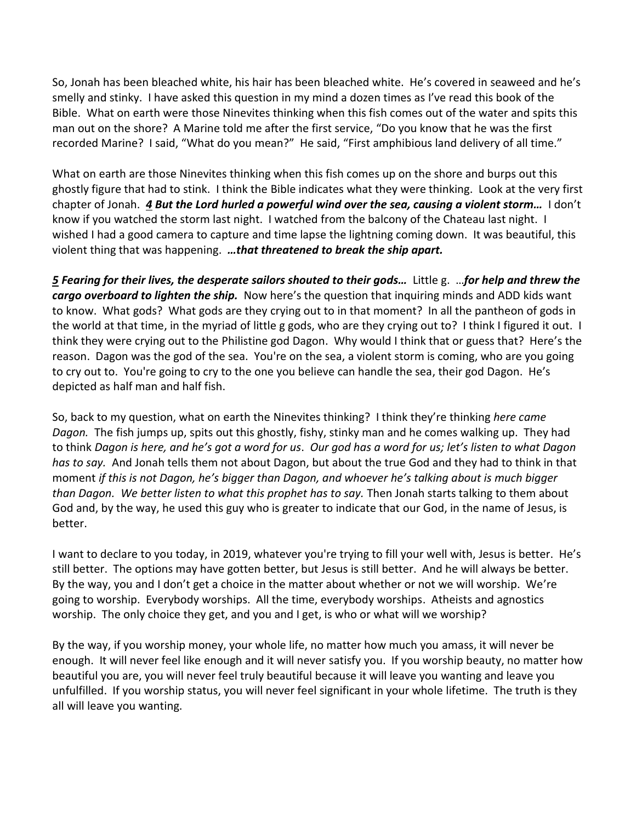So, Jonah has been bleached white, his hair has been bleached white. He's covered in seaweed and he's smelly and stinky. I have asked this question in my mind a dozen times as I've read this book of the Bible. What on earth were those Ninevites thinking when this fish comes out of the water and spits this man out on the shore? A Marine told me after the first service, "Do you know that he was the first recorded Marine? I said, "What do you mean?" He said, "First amphibious land delivery of all time."

What on earth are those Ninevites thinking when this fish comes up on the shore and burps out this ghostly figure that had to stink. I think the Bible indicates what they were thinking. Look at the very first chapter of Jonah. *[4](https://www.studylight.org/desk/?q=jon%201:4&t1=en_nlt&sr=1) But the Lord hurled a powerful wind over the sea, causing a violent storm…* I don't know if you watched the storm last night. I watched from the balcony of the Chateau last night. I wished I had a good camera to capture and time lapse the lightning coming down. It was beautiful, this violent thing that was happening. *…that threatened to break the ship apart.* 

*[5](https://www.studylight.org/desk/?q=jon%201:5&t1=en_nlt&sr=1) Fearing for their lives, the desperate sailors shouted to their gods…* Little g. …*for help and threw the cargo overboard to lighten the ship.* Now here's the question that inquiring minds and ADD kids want to know. What gods? What gods are they crying out to in that moment? In all the pantheon of gods in the world at that time, in the myriad of little g gods, who are they crying out to? I think I figured it out. I think they were crying out to the Philistine god Dagon. Why would I think that or guess that? Here's the reason. Dagon was the god of the sea. You're on the sea, a violent storm is coming, who are you going to cry out to. You're going to cry to the one you believe can handle the sea, their god Dagon. He's depicted as half man and half fish.

So, back to my question, what on earth the Ninevites thinking? I think they're thinking *here came Dagon.* The fish jumps up, spits out this ghostly, fishy, stinky man and he comes walking up. They had to think *Dagon is here, and he's got a word for us*. *Our god has a word for us; let's listen to what Dagon has to say.* And Jonah tells them not about Dagon, but about the true God and they had to think in that moment *if this is not Dagon, he's bigger than Dagon, and whoever he's talking about is much bigger than Dagon. We better listen to what this prophet has to say.* Then Jonah starts talking to them about God and, by the way, he used this guy who is greater to indicate that our God, in the name of Jesus, is better.

I want to declare to you today, in 2019, whatever you're trying to fill your well with, Jesus is better. He's still better. The options may have gotten better, but Jesus is still better. And he will always be better. By the way, you and I don't get a choice in the matter about whether or not we will worship. We're going to worship. Everybody worships. All the time, everybody worships. Atheists and agnostics worship. The only choice they get, and you and I get, is who or what will we worship?

By the way, if you worship money, your whole life, no matter how much you amass, it will never be enough. It will never feel like enough and it will never satisfy you. If you worship beauty, no matter how beautiful you are, you will never feel truly beautiful because it will leave you wanting and leave you unfulfilled. If you worship status, you will never feel significant in your whole lifetime. The truth is they all will leave you wanting.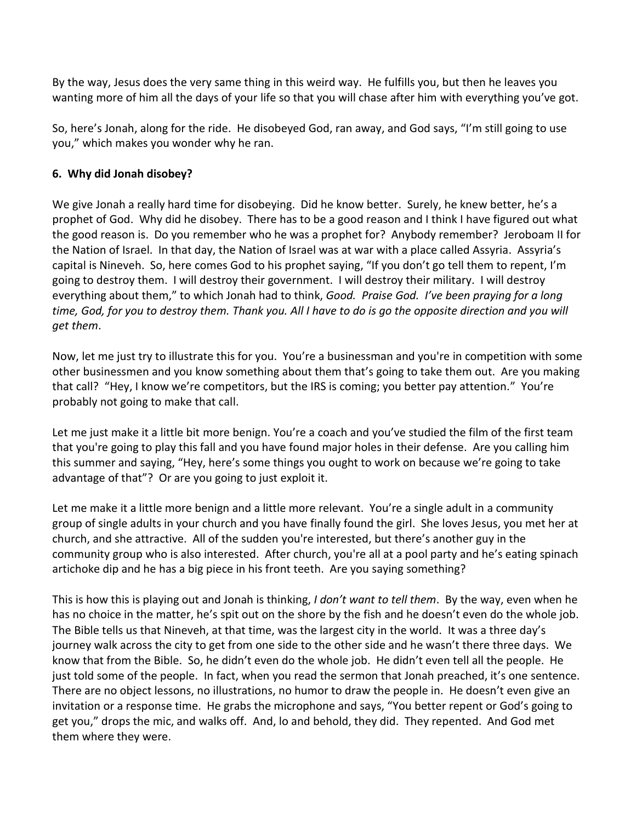By the way, Jesus does the very same thing in this weird way. He fulfills you, but then he leaves you wanting more of him all the days of your life so that you will chase after him with everything you've got.

So, here's Jonah, along for the ride. He disobeyed God, ran away, and God says, "I'm still going to use you," which makes you wonder why he ran.

## **6. Why did Jonah disobey?**

We give Jonah a really hard time for disobeying. Did he know better. Surely, he knew better, he's a prophet of God. Why did he disobey. There has to be a good reason and I think I have figured out what the good reason is. Do you remember who he was a prophet for? Anybody remember? Jeroboam II for the Nation of Israel. In that day, the Nation of Israel was at war with a place called Assyria. Assyria's capital is Nineveh. So, here comes God to his prophet saying, "If you don't go tell them to repent, I'm going to destroy them. I will destroy their government. I will destroy their military. I will destroy everything about them," to which Jonah had to think, *Good. Praise God. I've been praying for a long time, God, for you to destroy them. Thank you. All I have to do is go the opposite direction and you will get them*.

Now, let me just try to illustrate this for you. You're a businessman and you're in competition with some other businessmen and you know something about them that's going to take them out. Are you making that call? "Hey, I know we're competitors, but the IRS is coming; you better pay attention." You're probably not going to make that call.

Let me just make it a little bit more benign. You're a coach and you've studied the film of the first team that you're going to play this fall and you have found major holes in their defense. Are you calling him this summer and saying, "Hey, here's some things you ought to work on because we're going to take advantage of that"? Or are you going to just exploit it.

Let me make it a little more benign and a little more relevant. You're a single adult in a community group of single adults in your church and you have finally found the girl. She loves Jesus, you met her at church, and she attractive. All of the sudden you're interested, but there's another guy in the community group who is also interested. After church, you're all at a pool party and he's eating spinach artichoke dip and he has a big piece in his front teeth. Are you saying something?

This is how this is playing out and Jonah is thinking, *I don't want to tell them*. By the way, even when he has no choice in the matter, he's spit out on the shore by the fish and he doesn't even do the whole job. The Bible tells us that Nineveh, at that time, was the largest city in the world. It was a three day's journey walk across the city to get from one side to the other side and he wasn't there three days. We know that from the Bible. So, he didn't even do the whole job. He didn't even tell all the people. He just told some of the people. In fact, when you read the sermon that Jonah preached, it's one sentence. There are no object lessons, no illustrations, no humor to draw the people in. He doesn't even give an invitation or a response time. He grabs the microphone and says, "You better repent or God's going to get you," drops the mic, and walks off. And, lo and behold, they did. They repented. And God met them where they were.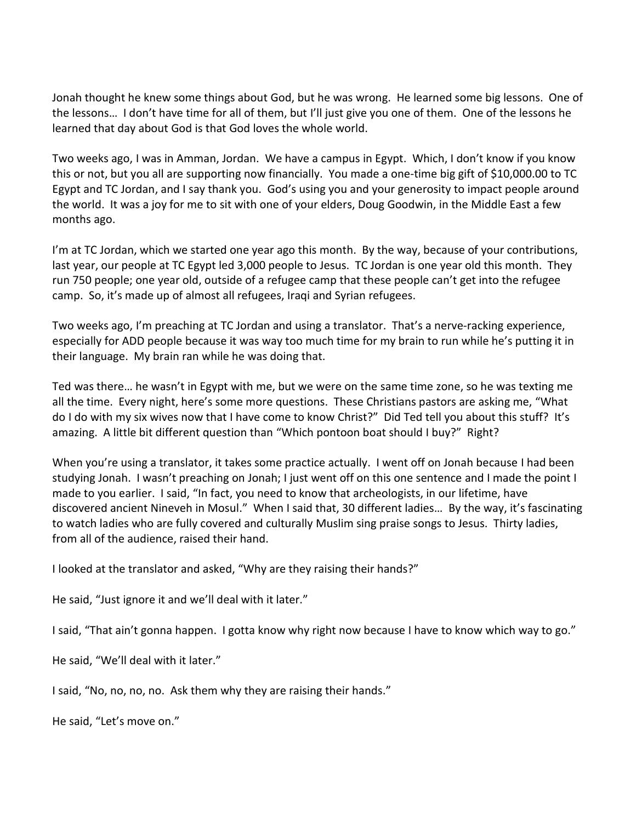Jonah thought he knew some things about God, but he was wrong. He learned some big lessons. One of the lessons… I don't have time for all of them, but I'll just give you one of them. One of the lessons he learned that day about God is that God loves the whole world.

Two weeks ago, I was in Amman, Jordan. We have a campus in Egypt. Which, I don't know if you know this or not, but you all are supporting now financially. You made a one-time big gift of \$10,000.00 to TC Egypt and TC Jordan, and I say thank you. God's using you and your generosity to impact people around the world. It was a joy for me to sit with one of your elders, Doug Goodwin, in the Middle East a few months ago.

I'm at TC Jordan, which we started one year ago this month. By the way, because of your contributions, last year, our people at TC Egypt led 3,000 people to Jesus. TC Jordan is one year old this month. They run 750 people; one year old, outside of a refugee camp that these people can't get into the refugee camp. So, it's made up of almost all refugees, Iraqi and Syrian refugees.

Two weeks ago, I'm preaching at TC Jordan and using a translator. That's a nerve-racking experience, especially for ADD people because it was way too much time for my brain to run while he's putting it in their language. My brain ran while he was doing that.

Ted was there… he wasn't in Egypt with me, but we were on the same time zone, so he was texting me all the time. Every night, here's some more questions. These Christians pastors are asking me, "What do I do with my six wives now that I have come to know Christ?" Did Ted tell you about this stuff? It's amazing. A little bit different question than "Which pontoon boat should I buy?" Right?

When you're using a translator, it takes some practice actually. I went off on Jonah because I had been studying Jonah. I wasn't preaching on Jonah; I just went off on this one sentence and I made the point I made to you earlier. I said, "In fact, you need to know that archeologists, in our lifetime, have discovered ancient Nineveh in Mosul." When I said that, 30 different ladies… By the way, it's fascinating to watch ladies who are fully covered and culturally Muslim sing praise songs to Jesus. Thirty ladies, from all of the audience, raised their hand.

I looked at the translator and asked, "Why are they raising their hands?"

He said, "Just ignore it and we'll deal with it later."

I said, "That ain't gonna happen. I gotta know why right now because I have to know which way to go."

He said, "We'll deal with it later."

I said, "No, no, no, no. Ask them why they are raising their hands."

He said, "Let's move on."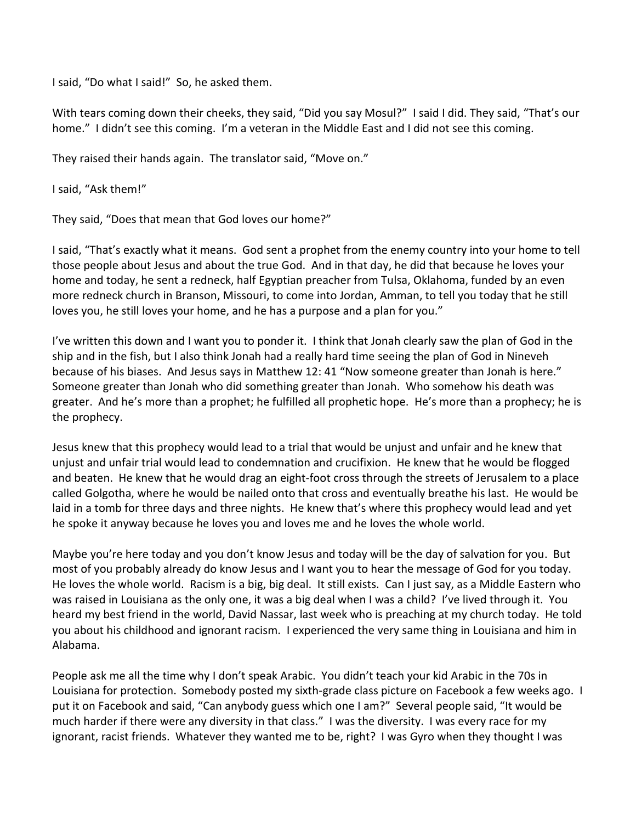I said, "Do what I said!" So, he asked them.

With tears coming down their cheeks, they said, "Did you say Mosul?" I said I did. They said, "That's our home." I didn't see this coming. I'm a veteran in the Middle East and I did not see this coming.

They raised their hands again. The translator said, "Move on."

I said, "Ask them!"

They said, "Does that mean that God loves our home?"

I said, "That's exactly what it means. God sent a prophet from the enemy country into your home to tell those people about Jesus and about the true God. And in that day, he did that because he loves your home and today, he sent a redneck, half Egyptian preacher from Tulsa, Oklahoma, funded by an even more redneck church in Branson, Missouri, to come into Jordan, Amman, to tell you today that he still loves you, he still loves your home, and he has a purpose and a plan for you."

I've written this down and I want you to ponder it. I think that Jonah clearly saw the plan of God in the ship and in the fish, but I also think Jonah had a really hard time seeing the plan of God in Nineveh because of his biases. And Jesus says in Matthew 12: 41 "Now someone greater than Jonah is here." Someone greater than Jonah who did something greater than Jonah. Who somehow his death was greater. And he's more than a prophet; he fulfilled all prophetic hope. He's more than a prophecy; he is the prophecy.

Jesus knew that this prophecy would lead to a trial that would be unjust and unfair and he knew that unjust and unfair trial would lead to condemnation and crucifixion. He knew that he would be flogged and beaten. He knew that he would drag an eight-foot cross through the streets of Jerusalem to a place called Golgotha, where he would be nailed onto that cross and eventually breathe his last. He would be laid in a tomb for three days and three nights. He knew that's where this prophecy would lead and yet he spoke it anyway because he loves you and loves me and he loves the whole world.

Maybe you're here today and you don't know Jesus and today will be the day of salvation for you. But most of you probably already do know Jesus and I want you to hear the message of God for you today. He loves the whole world. Racism is a big, big deal. It still exists. Can I just say, as a Middle Eastern who was raised in Louisiana as the only one, it was a big deal when I was a child? I've lived through it. You heard my best friend in the world, David Nassar, last week who is preaching at my church today. He told you about his childhood and ignorant racism. I experienced the very same thing in Louisiana and him in Alabama.

People ask me all the time why I don't speak Arabic. You didn't teach your kid Arabic in the 70s in Louisiana for protection. Somebody posted my sixth-grade class picture on Facebook a few weeks ago. I put it on Facebook and said, "Can anybody guess which one I am?" Several people said, "It would be much harder if there were any diversity in that class." I was the diversity. I was every race for my ignorant, racist friends. Whatever they wanted me to be, right? I was Gyro when they thought I was